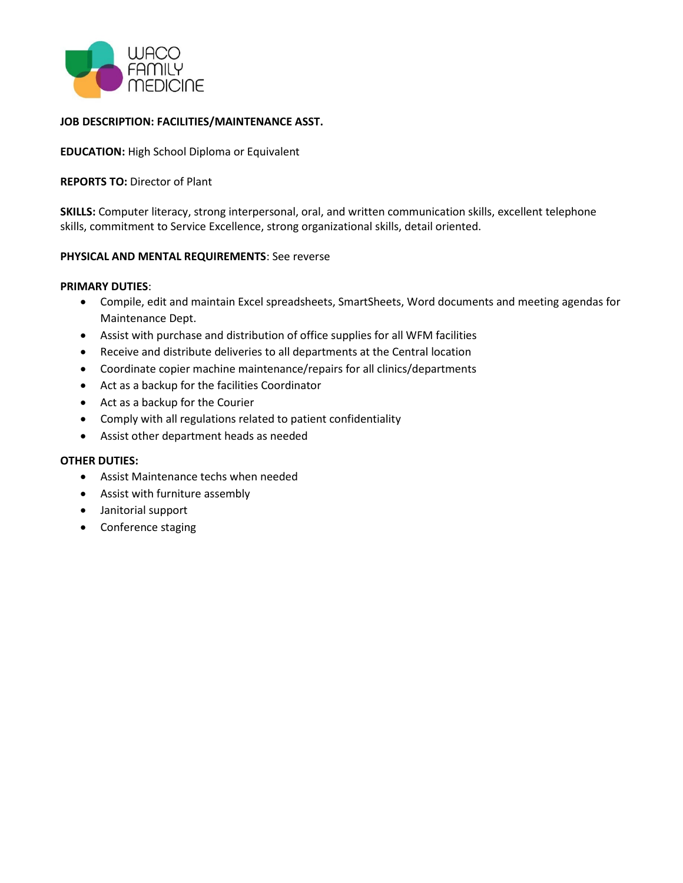

## **JOB DESCRIPTION: FACILITIES/MAINTENANCE ASST.**

**EDUCATION:** High School Diploma or Equivalent

## **REPORTS TO:** Director of Plant

**SKILLS:** Computer literacy, strong interpersonal, oral, and written communication skills, excellent telephone skills, commitment to Service Excellence, strong organizational skills, detail oriented.

## **PHYSICAL AND MENTAL REQUIREMENTS**: See reverse

#### **PRIMARY DUTIES**:

- Compile, edit and maintain Excel spreadsheets, SmartSheets, Word documents and meeting agendas for Maintenance Dept.
- Assist with purchase and distribution of office supplies for all WFM facilities
- Receive and distribute deliveries to all departments at the Central location
- Coordinate copier machine maintenance/repairs for all clinics/departments
- Act as a backup for the facilities Coordinator
- Act as a backup for the Courier
- Comply with all regulations related to patient confidentiality
- Assist other department heads as needed

# **OTHER DUTIES:**

- Assist Maintenance techs when needed
- Assist with furniture assembly
- Janitorial support
- Conference staging